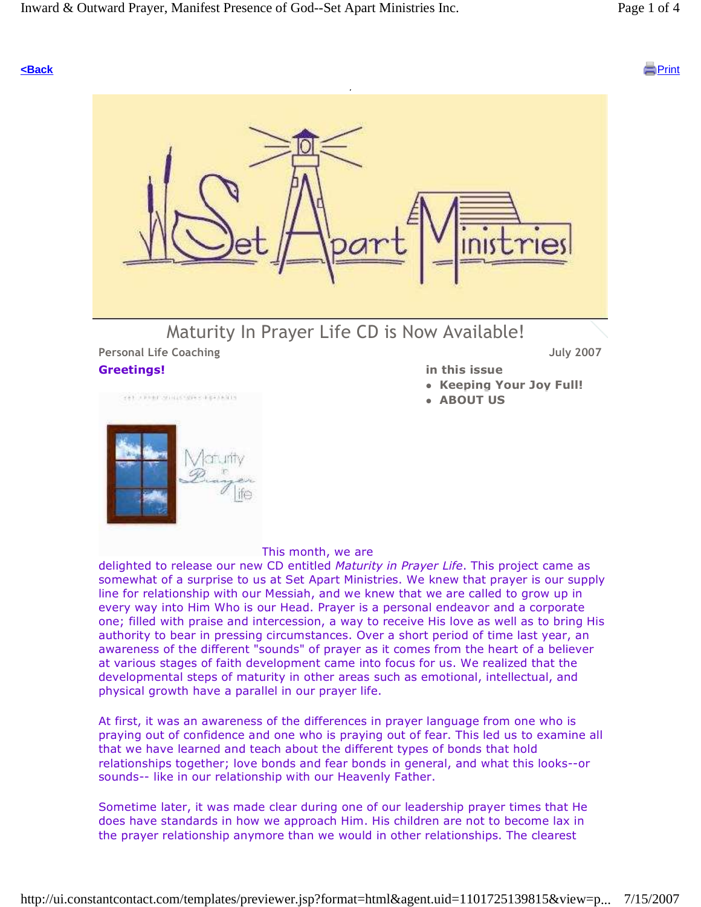#### **<Back** Print



# Maturity In Prayer Life CD is Now Available!

## Personal Life Coaching **Community** 2007 Greetings!

get clear months applied



#### in this issue

- Keeping Your Joy Full!
- **ABOUT US**

#### This month, we are

delighted to release our new CD entitled Maturity in Prayer Life. This project came as somewhat of a surprise to us at Set Apart Ministries. We knew that prayer is our supply line for relationship with our Messiah, and we knew that we are called to grow up in every way into Him Who is our Head. Prayer is a personal endeavor and a corporate one; filled with praise and intercession, a way to receive His love as well as to bring His authority to bear in pressing circumstances. Over a short period of time last year, an awareness of the different "sounds" of prayer as it comes from the heart of a believer at various stages of faith development came into focus for us. We realized that the developmental steps of maturity in other areas such as emotional, intellectual, and physical growth have a parallel in our prayer life.

At first, it was an awareness of the differences in prayer language from one who is praying out of confidence and one who is praying out of fear. This led us to examine all that we have learned and teach about the different types of bonds that hold relationships together; love bonds and fear bonds in general, and what this looks--or sounds-- like in our relationship with our Heavenly Father.

Sometime later, it was made clear during one of our leadership prayer times that He does have standards in how we approach Him. His children are not to become lax in the prayer relationship anymore than we would in other relationships. The clearest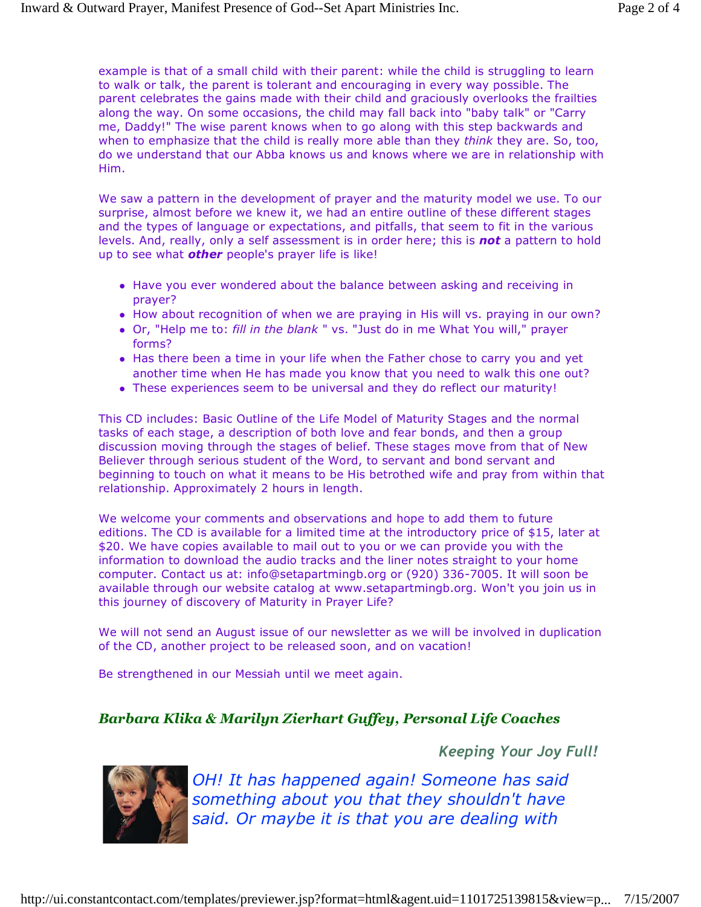example is that of a small child with their parent: while the child is struggling to learn to walk or talk, the parent is tolerant and encouraging in every way possible. The parent celebrates the gains made with their child and graciously overlooks the frailties along the way. On some occasions, the child may fall back into "baby talk" or "Carry me, Daddy!" The wise parent knows when to go along with this step backwards and when to emphasize that the child is really more able than they think they are. So, too, do we understand that our Abba knows us and knows where we are in relationship with Him.

We saw a pattern in the development of prayer and the maturity model we use. To our surprise, almost before we knew it, we had an entire outline of these different stages and the types of language or expectations, and pitfalls, that seem to fit in the various levels. And, really, only a self assessment is in order here; this is not a pattern to hold up to see what **other** people's prayer life is like!

- Have you ever wondered about the balance between asking and receiving in prayer?
- How about recognition of when we are praying in His will vs. praying in our own?
- Or, "Help me to: fill in the blank " vs. "Just do in me What You will," prayer forms?
- Has there been a time in your life when the Father chose to carry you and yet another time when He has made you know that you need to walk this one out?
- These experiences seem to be universal and they do reflect our maturity!

This CD includes: Basic Outline of the Life Model of Maturity Stages and the normal tasks of each stage, a description of both love and fear bonds, and then a group discussion moving through the stages of belief. These stages move from that of New Believer through serious student of the Word, to servant and bond servant and beginning to touch on what it means to be His betrothed wife and pray from within that relationship. Approximately 2 hours in length.

We welcome your comments and observations and hope to add them to future editions. The CD is available for a limited time at the introductory price of \$15, later at \$20. We have copies available to mail out to you or we can provide you with the information to download the audio tracks and the liner notes straight to your home computer. Contact us at: info@setapartmingb.org or (920) 336-7005. It will soon be available through our website catalog at www.setapartmingb.org. Won't you join us in this journey of discovery of Maturity in Prayer Life?

We will not send an August issue of our newsletter as we will be involved in duplication of the CD, another project to be released soon, and on vacation!

Be strengthened in our Messiah until we meet again.

## Barbara Klika & Marilyn Zierhart Guffey, Personal Life Coaches

Keeping Your Joy Full!



OH! It has happened again! Someone has said something about you that they shouldn't have said. Or maybe it is that you are dealing with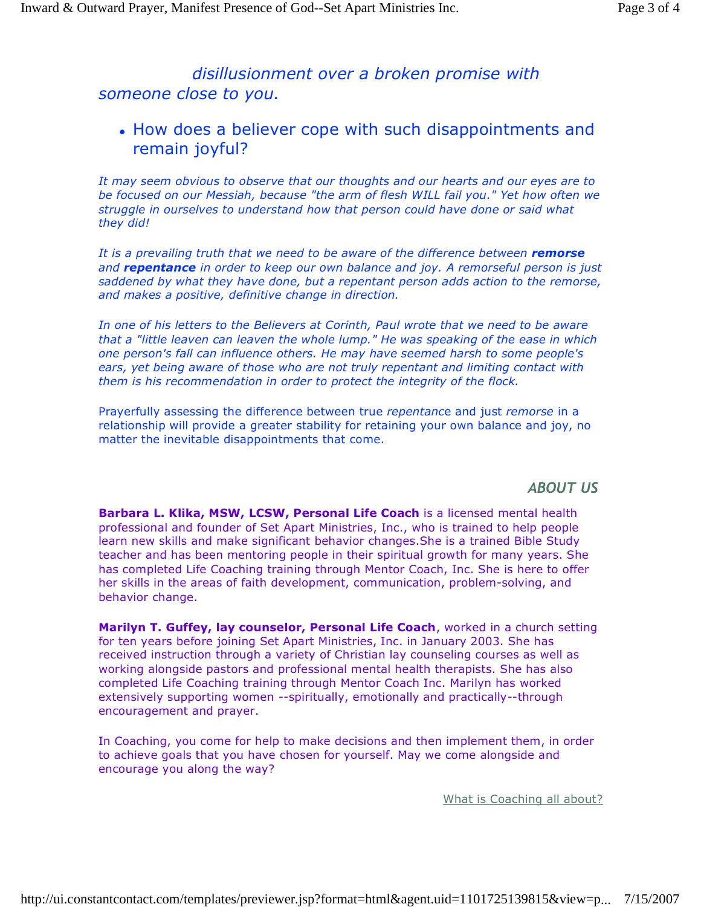# disillusionment over a broken promise with someone close to you.

## How does a believer cope with such disappointments and remain joyful?

It may seem obvious to observe that our thoughts and our hearts and our eyes are to be focused on our Messiah, because "the arm of flesh WILL fail you." Yet how often we struggle in ourselves to understand how that person could have done or said what they did!

It is a prevailing truth that we need to be aware of the difference between remorse and repentance in order to keep our own balance and joy. A remorseful person is just saddened by what they have done, but a repentant person adds action to the remorse, and makes a positive, definitive change in direction.

In one of his letters to the Believers at Corinth, Paul wrote that we need to be aware that a "little leaven can leaven the whole lump." He was speaking of the ease in which one person's fall can influence others. He may have seemed harsh to some people's ears, yet being aware of those who are not truly repentant and limiting contact with them is his recommendation in order to protect the integrity of the flock.

Prayerfully assessing the difference between true repentance and just remorse in a relationship will provide a greater stability for retaining your own balance and joy, no matter the inevitable disappointments that come.

## ABOUT US

Barbara L. Klika, MSW, LCSW, Personal Life Coach is a licensed mental health professional and founder of Set Apart Ministries, Inc., who is trained to help people learn new skills and make significant behavior changes.She is a trained Bible Study teacher and has been mentoring people in their spiritual growth for many years. She has completed Life Coaching training through Mentor Coach, Inc. She is here to offer her skills in the areas of faith development, communication, problem-solving, and behavior change.

Marilyn T. Guffey, lay counselor, Personal Life Coach, worked in a church setting for ten years before joining Set Apart Ministries, Inc. in January 2003. She has received instruction through a variety of Christian lay counseling courses as well as working alongside pastors and professional mental health therapists. She has also completed Life Coaching training through Mentor Coach Inc. Marilyn has worked extensively supporting women --spiritually, emotionally and practically--through encouragement and prayer.

In Coaching, you come for help to make decisions and then implement them, in order to achieve goals that you have chosen for yourself. May we come alongside and encourage you along the way?

What is Coaching all about?